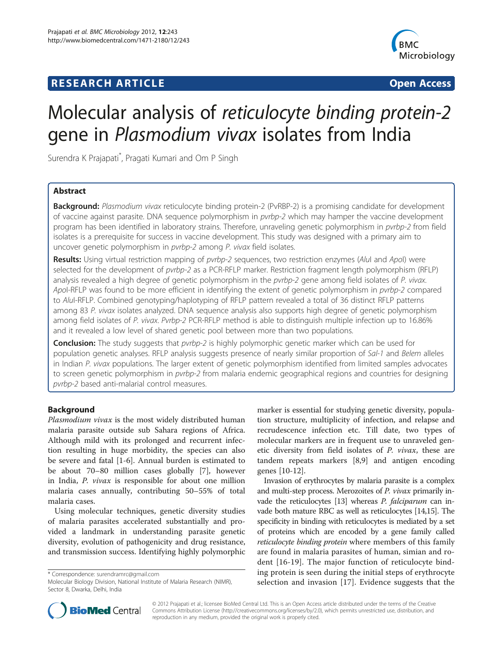## **RESEARCH ARTICLE Example 2014 CONSIDERING CONSIDERING CONSIDERING CONSIDERING CONSIDERING CONSIDERING CONSIDERING CONSIDERING CONSIDERING CONSIDERING CONSIDERING CONSIDERING CONSIDERING CONSIDERING CONSIDERING CONSIDE**



# Molecular analysis of reticulocyte binding protein-2 gene in Plasmodium vivax isolates from India

Surendra K Prajapati\* , Pragati Kumari and Om P Singh

## Abstract

**Background:** Plasmodium vivax reticulocyte binding protein-2 (PvRBP-2) is a promising candidate for development of vaccine against parasite. DNA sequence polymorphism in pvrbp-2 which may hamper the vaccine development program has been identified in laboratory strains. Therefore, unraveling genetic polymorphism in pvrbp-2 from field isolates is a prerequisite for success in vaccine development. This study was designed with a primary aim to uncover genetic polymorphism in pvrbp-2 among P. vivax field isolates.

Results: Using virtual restriction mapping of pvrbp-2 sequences, two restriction enzymes (AluI and ApoI) were selected for the development of pvrbp-2 as a PCR-RFLP marker. Restriction fragment length polymorphism (RFLP) analysis revealed a high degree of genetic polymorphism in the pvrbp-2 gene among field isolates of P. vivax. Apol-RFLP was found to be more efficient in identifying the extent of genetic polymorphism in pvrbp-2 compared to AluI-RFLP. Combined genotyping/haplotyping of RFLP pattern revealed a total of 36 distinct RFLP patterns among 83 P. vivax isolates analyzed. DNA sequence analysis also supports high degree of genetic polymorphism among field isolates of P. vivax. Pvrbp-2 PCR-RFLP method is able to distinguish multiple infection up to 16.86% and it revealed a low level of shared genetic pool between more than two populations.

**Conclusion:** The study suggests that *pvrbp-2* is highly polymorphic genetic marker which can be used for population genetic analyses. RFLP analysis suggests presence of nearly similar proportion of Sal-1 and Belem alleles in Indian P. vivax populations. The larger extent of genetic polymorphism identified from limited samples advocates to screen genetic polymorphism in pvrbp-2 from malaria endemic geographical regions and countries for designing pvrbp-2 based anti-malarial control measures.

## Background

Plasmodium vivax is the most widely distributed human malaria parasite outside sub Sahara regions of Africa. Although mild with its prolonged and recurrent infection resulting in huge morbidity, the species can also be severe and fatal [\[1](#page-6-0)-[6\]](#page-6-0). Annual burden is estimated to be about 70–80 million cases globally [\[7](#page-6-0)], however in India, P. vivax is responsible for about one million malaria cases annually, contributing 50–55% of total malaria cases.

Using molecular techniques, genetic diversity studies of malaria parasites accelerated substantially and provided a landmark in understanding parasite genetic diversity, evolution of pathogenicity and drug resistance, and transmission success. Identifying highly polymorphic

\* Correspondence: [surendramrc@gmail.com](mailto:surendramrc@gmail.com)

marker is essential for studying genetic diversity, population structure, multiplicity of infection, and relapse and recrudescence infection etc. Till date, two types of molecular markers are in frequent use to unraveled genetic diversity from field isolates of P. vivax, these are tandem repeats markers [[8,9\]](#page-6-0) and antigen encoding genes [[10](#page-7-0)-[12\]](#page-7-0).

Invasion of erythrocytes by malaria parasite is a complex and multi-step process. Merozoites of P. vivax primarily in-vade the reticulocytes [\[13](#page-7-0)] whereas *P. falciparum* can invade both mature RBC as well as reticulocytes [\[14,15\]](#page-7-0). The specificity in binding with reticulocytes is mediated by a set of proteins which are encoded by a gene family called reticulocyte binding protein where members of this family are found in malaria parasites of human, simian and rodent [[16-19](#page-7-0)]. The major function of reticulocyte binding protein is seen during the initial steps of erythrocyte selection and invasion [\[17](#page-7-0)]. Evidence suggests that the



© 2012 Prajapati et al.; licensee BioMed Central Ltd. This is an Open Access article distributed under the terms of the Creative Commons Attribution License [\(http://creativecommons.org/licenses/by/2.0\)](http://creativecommons.org/licenses/by/2.0), which permits unrestricted use, distribution, and reproduction in any medium, provided the original work is properly cited.

Molecular Biology Division, National Institute of Malaria Research (NIMR), Sector 8, Dwarka, Delhi, India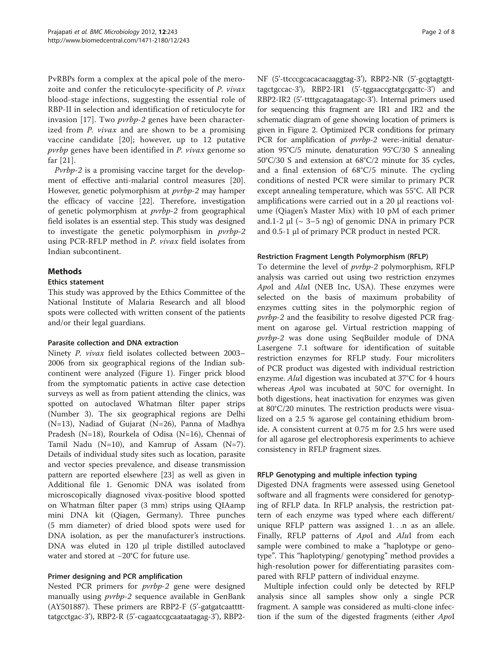PvRBPs form a complex at the apical pole of the merozoite and confer the reticulocyte-specificity of P. vivax blood-stage infections, suggesting the essential role of RBP-II in selection and identification of reticulocyte for invasion [\[17](#page-7-0)]. Two pvrbp-2 genes have been characterized from P. vivax and are shown to be a promising vaccine candidate [[20](#page-7-0)]; however, up to 12 putative pvrbp genes have been identified in P. vivax genome so far [[21](#page-7-0)].

Pvrbp-2 is a promising vaccine target for the development of effective anti-malarial control measures [\[20](#page-7-0)]. However, genetic polymorphism at *pvrbp-2* may hamper the efficacy of vaccine [[22\]](#page-7-0). Therefore, investigation of genetic polymorphism at pvrbp-2 from geographical field isolates is an essential step. This study was designed to investigate the genetic polymorphism in pvrbp-2 using PCR-RFLP method in P. vivax field isolates from Indian subcontinent.

## **Methods**

## Ethics statement

This study was approved by the Ethics Committee of the National Institute of Malaria Research and all blood spots were collected with written consent of the patients and/or their legal guardians.

## Parasite collection and DNA extraction

Ninety P. vivax field isolates collected between 2003– 2006 from six geographical regions of the Indian subcontinent were analyzed (Figure [1\)](#page-2-0). Finger prick blood from the symptomatic patients in active case detection surveys as well as from patient attending the clinics, was spotted on autoclaved Whatman filter paper strips (Number 3). The six geographical regions are Delhi (N=13), Nadiad of Gujarat (N=26), Panna of Madhya Pradesh (N=18), Rourkela of Odisa (N=16), Chennai of Tamil Nadu ( $N=10$ ), and Kamrup of Assam ( $N=7$ ). Details of individual study sites such as location, parasite and vector species prevalence, and disease transmission pattern are reported elsewhere [[23](#page-7-0)] as well as given in Additional file [1](#page-6-0). Genomic DNA was isolated from microscopically diagnosed vivax-positive blood spotted on Whatman filter paper (3 mm) strips using QIAamp mini DNA kit (Qiagen, Germany). Three punches (5 mm diameter) of dried blood spots were used for DNA isolation, as per the manufacturer's instructions. DNA was eluted in 120 μl triple distilled autoclaved water and stored at −20°C for future use.

## Primer designing and PCR amplification

Nested PCR primers for pvrbp-2 gene were designed manually using *pvrbp-2* sequence available in GenBank (AY501887). These primers are RBP2-F (5'-gatgatcaatttttatgcctgac-3'), RBP2-R (5'-cagaatccgcaataatagag-3'), RBP2NF (5'-ttcccgcacacacaaggtag-3'), RBP2-NR (5'-gcgtagtgtttagctgccac-3'), RBP2-IR1 (5'-tggaaccgtatgcgattc-3') and RBP2-IR2 (5'-ttttgcagataagatagc-3'). Internal primers used for sequencing this fragment are IR1 and IR2 and the schematic diagram of gene showing location of primers is given in Figure [2](#page-2-0). Optimized PCR conditions for primary PCR for amplification of *pvrbp-2* were:-initial denaturation 95°C/5 minute, denaturation 95°C/30 S annealing 50°C/30 S and extension at 68°C/2 minute for 35 cycles, and a final extension of 68°C/5 minute. The cycling conditions of nested PCR were similar to primary PCR except annealing temperature, which was 55°C. All PCR amplifications were carried out in a 20 μl reactions volume (Qiagen's Master Mix) with 10 pM of each primer and.1-2  $\mu$ l ( $\sim$  3–5 ng) of genomic DNA in primary PCR and 0.5-1 μl of primary PCR product in nested PCR.

## Restriction Fragment Length Polymorphism (RFLP)

To determine the level of pvrbp-2 polymorphism, RFLP analysis was carried out using two restriction enzymes ApoI and AluI (NEB Inc, USA). These enzymes were selected on the basis of maximum probability of enzymes cutting sites in the polymorphic region of pvrbp-2 and the feasibility to resolve digested PCR fragment on agarose gel. Virtual restriction mapping of pvrbp-2 was done using SeqBuilder module of DNA Lasergene 7.1 software for identification of suitable restriction enzymes for RFLP study. Four microliters of PCR product was digested with individual restriction enzyme. AluI digestion was incubated at 37°C for 4 hours whereas ApoI was incubated at 50°C for overnight. In both digestions, heat inactivation for enzymes was given at 80°C/20 minutes. The restriction products were visualized on a 2.5 % agarose gel containing ethidium bromide. A consistent current at 0.75 m for 2.5 hrs were used for all agarose gel electrophoresis experiments to achieve consistency in RFLP fragment sizes.

## RFLP Genotyping and multiple infection typing

Digested DNA fragments were assessed using Genetool software and all fragments were considered for genotyping of RFLP data. In RFLP analysis, the restriction pattern of each enzyme was typed where each different/ unique RFLP pattern was assigned 1...n as an allele. Finally, RFLP patterns of ApoI and AluI from each sample were combined to make a "haplotype or genotype". This "haplotyping/ genotyping" method provides a high-resolution power for differentiating parasites compared with RFLP pattern of individual enzyme.

Multiple infection could only be detected by RFLP analysis since all samples show only a single PCR fragment. A sample was considered as multi-clone infection if the sum of the digested fragments (either ApoI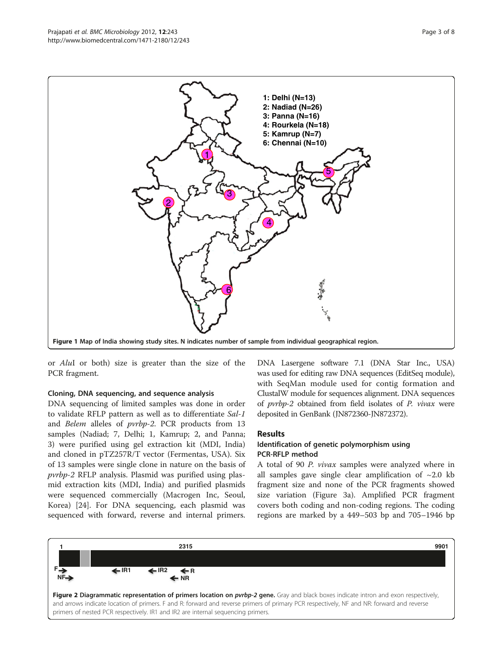<span id="page-2-0"></span>

or AluI or both) size is greater than the size of the PCR fragment.

## Cloning, DNA sequencing, and sequence analysis

DNA sequencing of limited samples was done in order to validate RFLP pattern as well as to differentiate Sal-1 and Belem alleles of pvrbp-2. PCR products from 13 samples (Nadiad; 7, Delhi; 1, Kamrup; 2, and Panna; 3) were purified using gel extraction kit (MDI, India) and cloned in pTZ257R/T vector (Fermentas, USA). Six of 13 samples were single clone in nature on the basis of pvrbp-2 RFLP analysis. Plasmid was purified using plasmid extraction kits (MDI, India) and purified plasmids were sequenced commercially (Macrogen Inc, Seoul, Korea) [[24\]](#page-7-0). For DNA sequencing, each plasmid was sequenced with forward, reverse and internal primers.

DNA Lasergene software 7.1 (DNA Star Inc., USA) was used for editing raw DNA sequences (EditSeq module), with SeqMan module used for contig formation and ClustalW module for sequences alignment. DNA sequences of pvrbp-2 obtained from field isolates of P. vivax were deposited in GenBank (JN872360-JN872372).

## Results

## Identification of genetic polymorphism using PCR-RFLP method

A total of 90 P. vivax samples were analyzed where in all samples gave single clear amplification of  $\sim$ 2.0 kb fragment size and none of the PCR fragments showed size variation (Figure [3a\)](#page-3-0). Amplified PCR fragment covers both coding and non-coding regions. The coding regions are marked by a 449–503 bp and 705–1946 bp

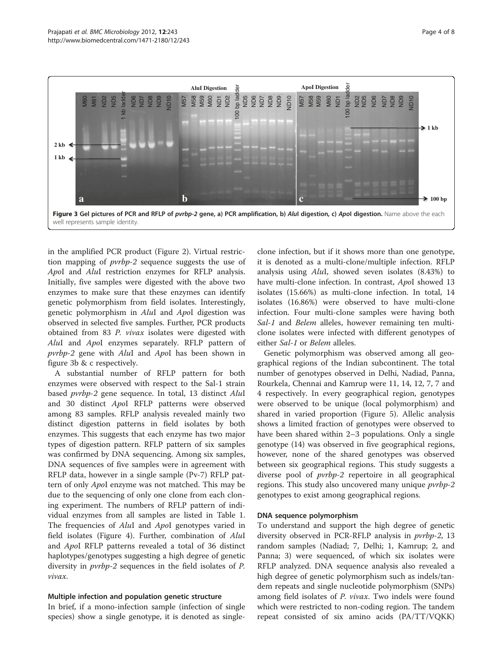<span id="page-3-0"></span>

in the amplified PCR product (Figure [2\)](#page-2-0). Virtual restriction mapping of pvrbp-2 sequence suggests the use of ApoI and AluI restriction enzymes for RFLP analysis. Initially, five samples were digested with the above two enzymes to make sure that these enzymes can identify genetic polymorphism from field isolates. Interestingly, genetic polymorphism in AluI and ApoI digestion was observed in selected five samples. Further, PCR products obtained from 83 P. vivax isolates were digested with AluI and ApoI enzymes separately. RFLP pattern of pvrbp-2 gene with AluI and ApoI has been shown in figure 3b & c respectively.

A substantial number of RFLP pattern for both enzymes were observed with respect to the Sal-1 strain based pvrbp-2 gene sequence. In total, 13 distinct AluI and 30 distinct ApoI RFLP patterns were observed among 83 samples. RFLP analysis revealed mainly two distinct digestion patterns in field isolates by both enzymes. This suggests that each enzyme has two major types of digestion pattern. RFLP pattern of six samples was confirmed by DNA sequencing. Among six samples, DNA sequences of five samples were in agreement with RFLP data, however in a single sample (Pv-7) RFLP pattern of only ApoI enzyme was not matched. This may be due to the sequencing of only one clone from each cloning experiment. The numbers of RFLP pattern of individual enzymes from all samples are listed in Table [1](#page-4-0). The frequencies of AluI and ApoI genotypes varied in field isolates (Figure [4](#page-5-0)). Further, combination of AluI and ApoI RFLP patterns revealed a total of 36 distinct haplotypes/genotypes suggesting a high degree of genetic diversity in pvrbp-2 sequences in the field isolates of P. vivax.

## Multiple infection and population genetic structure

In brief, if a mono-infection sample (infection of single species) show a single genotype, it is denoted as single-

clone infection, but if it shows more than one genotype, it is denoted as a multi-clone/multiple infection. RFLP analysis using AluI, showed seven isolates (8.43%) to have multi-clone infection. In contrast, ApoI showed 13 isolates (15.66%) as multi-clone infection. In total, 14 isolates (16.86%) were observed to have multi-clone infection. Four multi-clone samples were having both Sal-1 and Belem alleles, however remaining ten multiclone isolates were infected with different genotypes of either Sal-1 or Belem alleles.

Genetic polymorphism was observed among all geographical regions of the Indian subcontinent. The total number of genotypes observed in Delhi, Nadiad, Panna, Rourkela, Chennai and Kamrup were 11, 14, 12, 7, 7 and 4 respectively. In every geographical region, genotypes were observed to be unique (local polymorphism) and shared in varied proportion (Figure [5](#page-5-0)). Allelic analysis shows a limited fraction of genotypes were observed to have been shared within 2–3 populations. Only a single genotype (14) was observed in five geographical regions, however, none of the shared genotypes was observed between six geographical regions. This study suggests a diverse pool of pvrbp-2 repertoire in all geographical regions. This study also uncovered many unique *pvrbp-2* genotypes to exist among geographical regions.

#### DNA sequence polymorphism

To understand and support the high degree of genetic diversity observed in PCR-RFLP analysis in pvrbp-2, 13 random samples (Nadiad; 7, Delhi; 1, Kamrup; 2, and Panna; 3) were sequenced, of which six isolates were RFLP analyzed. DNA sequence analysis also revealed a high degree of genetic polymorphism such as indels/tandem repeats and single nucleotide polymorphism (SNPs) among field isolates of P. vivax. Two indels were found which were restricted to non-coding region. The tandem repeat consisted of six amino acids (PA/TT/VQKK)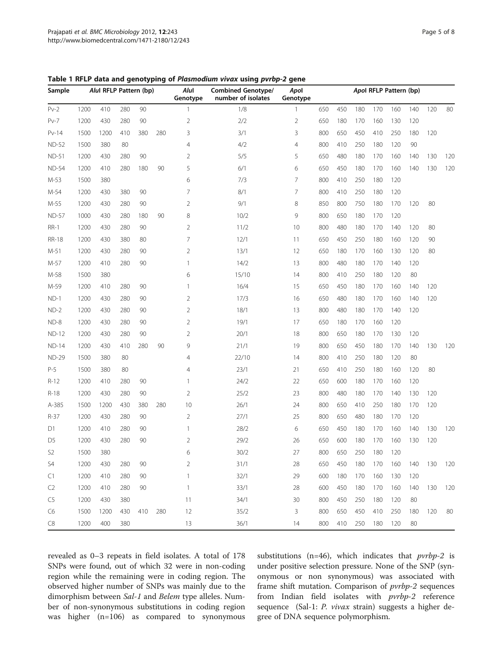<span id="page-4-0"></span>

|  |  | Table 1 RFLP data and genotyping of Plasmodium vivax using pvrbp-2 gene |  |  |  |  |  |
|--|--|-------------------------------------------------------------------------|--|--|--|--|--|
|--|--|-------------------------------------------------------------------------|--|--|--|--|--|

| Sample         |      | Alul RFLP Pattern (bp) |     |     |     | Alul<br>Genotype | <b>Combined Genotype/</b><br>number of isolates | Apol<br>Genotype | Apol RFLP Pattern (bp) |     |     |     |     |     |     |     |
|----------------|------|------------------------|-----|-----|-----|------------------|-------------------------------------------------|------------------|------------------------|-----|-----|-----|-----|-----|-----|-----|
| $Pv-2$         | 1200 | 410                    | 280 | 90  |     |                  | 1/8                                             | $\mathbf{1}$     | 650                    | 450 | 180 | 170 | 160 | 140 | 120 | 80  |
| $Pv-7$         | 1200 | 430                    | 280 | 90  |     | $\overline{2}$   | 2/2                                             | $\overline{2}$   | 650                    | 180 | 170 | 160 | 130 | 120 |     |     |
| $Pv-14$        | 1500 | 1200                   | 410 | 380 | 280 | 3                | 3/1                                             | 3                | 800                    | 650 | 450 | 410 | 250 | 180 | 120 |     |
| <b>ND-52</b>   | 1500 | 380                    | 80  |     |     | $\overline{4}$   | 4/2                                             | 4                | 800                    | 410 | 250 | 180 | 120 | 90  |     |     |
| <b>ND-51</b>   | 1200 | 430                    | 280 | 90  |     | $\overline{2}$   | 5/5                                             | 5                | 650                    | 480 | 180 | 170 | 160 | 140 | 130 | 120 |
| <b>ND-54</b>   | 1200 | 410                    | 280 | 180 | 90  | 5                | 6/1                                             | 6                | 650                    | 450 | 180 | 170 | 160 | 140 | 130 | 120 |
| M-53           | 1500 | 380                    |     |     |     | 6                | 7/3                                             | 7                | 800                    | 410 | 250 | 180 | 120 |     |     |     |
| M-54           | 1200 | 430                    | 380 | 90  |     | 7                | 8/1                                             | 7                | 800                    | 410 | 250 | 180 | 120 |     |     |     |
| M-55           | 1200 | 430                    | 280 | 90  |     | $\overline{2}$   | 9/1                                             | 8                | 850                    | 800 | 750 | 180 | 170 | 120 | 80  |     |
| <b>ND-57</b>   | 1000 | 430                    | 280 | 180 | 90  | 8                | 10/2                                            | 9                | 800                    | 650 | 180 | 170 | 120 |     |     |     |
| $RR-1$         | 1200 | 430                    | 280 | 90  |     | $\overline{2}$   | 11/2                                            | 10               | 800                    | 480 | 180 | 170 | 140 | 120 | 80  |     |
| <b>RR-18</b>   | 1200 | 430                    | 380 | 80  |     | $\overline{7}$   | 12/1                                            | 11               | 650                    | 450 | 250 | 180 | 160 | 120 | 90  |     |
| $M-51$         | 1200 | 430                    | 280 | 90  |     | $\overline{2}$   | 13/1                                            | 12               | 650                    | 180 | 170 | 160 | 130 | 120 | 80  |     |
| M-57           | 1200 | 410                    | 280 | 90  |     | 1                | 14/2                                            | 13               | 800                    | 480 | 180 | 170 | 140 | 120 |     |     |
| M-58           | 1500 | 380                    |     |     |     | 6                | 15/10                                           | 14               | 800                    | 410 | 250 | 180 | 120 | 80  |     |     |
| M-59           | 1200 | 410                    | 280 | 90  |     | 1                | 16/4                                            | 15               | 650                    | 450 | 180 | 170 | 160 | 140 | 120 |     |
| $ND-1$         | 1200 | 430                    | 280 | 90  |     | $\overline{2}$   | 17/3                                            | 16               | 650                    | 480 | 180 | 170 | 160 | 140 | 120 |     |
| $ND-2$         | 1200 | 430                    | 280 | 90  |     | $\overline{2}$   | 18/1                                            | 13               | 800                    | 480 | 180 | 170 | 140 | 120 |     |     |
| $ND-8$         | 1200 | 430                    | 280 | 90  |     | $\overline{2}$   | 19/1                                            | 17               | 650                    | 180 | 170 | 160 | 120 |     |     |     |
| <b>ND-12</b>   | 1200 | 430                    | 280 | 90  |     | $\overline{2}$   | 20/1                                            | 18               | 800                    | 650 | 180 | 170 | 130 | 120 |     |     |
| <b>ND-14</b>   | 1200 | 430                    | 410 | 280 | 90  | 9                | 21/1                                            | 19               | 800                    | 650 | 450 | 180 | 170 | 140 | 130 | 120 |
| <b>ND-29</b>   | 1500 | 380                    | 80  |     |     | $\overline{4}$   | 22/10                                           | 14               | 800                    | 410 | 250 | 180 | 120 | 80  |     |     |
| $P-5$          | 1500 | 380                    | 80  |     |     | 4                | 23/1                                            | 21               | 650                    | 410 | 250 | 180 | 160 | 120 | 80  |     |
| $R-12$         | 1200 | 410                    | 280 | 90  |     | 1                | 24/2                                            | 22               | 650                    | 600 | 180 | 170 | 160 | 120 |     |     |
| $R-18$         | 1200 | 430                    | 280 | 90  |     | $\overline{2}$   | 25/2                                            | 23               | 800                    | 480 | 180 | 170 | 140 | 130 | 120 |     |
| A-385          | 1500 | 1200                   | 430 | 380 | 280 | 10               | 26/1                                            | 24               | 800                    | 650 | 410 | 250 | 180 | 170 | 120 |     |
| $R-37$         | 1200 | 430                    | 280 | 90  |     | $\overline{2}$   | 27/1                                            | 25               | 800                    | 650 | 480 | 180 | 170 | 120 |     |     |
| D1             | 1200 | 410                    | 280 | 90  |     | 1                | 28/2                                            | 6                | 650                    | 450 | 180 | 170 | 160 | 140 | 130 | 120 |
| D <sub>5</sub> | 1200 | 430                    | 280 | 90  |     | $\overline{2}$   | 29/2                                            | 26               | 650                    | 600 | 180 | 170 | 160 | 130 | 120 |     |
| S <sub>2</sub> | 1500 | 380                    |     |     |     | 6                | 30/2                                            | 27               | 800                    | 650 | 250 | 180 | 120 |     |     |     |
| S4             | 1200 | 430                    | 280 | 90  |     | 2                | 31/1                                            | 28               | 650                    | 450 | 180 | 170 | 160 | 140 | 130 | 120 |
| C1             | 1200 | 410                    | 280 | 90  |     | 1                | 32/1                                            | 29               | 600                    | 180 | 170 | 160 | 130 | 120 |     |     |
| C <sub>2</sub> | 1200 | 410                    | 280 | 90  |     | 1                | 33/1                                            | 28               | 600                    | 450 | 180 | 170 | 160 | 140 | 130 | 120 |
| C5             | 1200 | 430                    | 380 |     |     | 11               | 34/1                                            | 30               | 800                    | 450 | 250 | 180 | 120 | 80  |     |     |
| C6             | 1500 | 1200                   | 430 | 410 | 280 | 12               | 35/2                                            | 3                | 800                    | 650 | 450 | 410 | 250 | 180 | 120 | 80  |
| C8             | 1200 | 400                    | 380 |     |     | 13               | 36/1                                            | 14               | 800                    | 410 | 250 | 180 | 120 | 80  |     |     |

revealed as 0–3 repeats in field isolates. A total of 178 SNPs were found, out of which 32 were in non-coding region while the remaining were in coding region. The observed higher number of SNPs was mainly due to the dimorphism between Sal-1 and Belem type alleles. Number of non-synonymous substitutions in coding region was higher (n=106) as compared to synonymous

substitutions (n=46), which indicates that  $prbp-2$  is under positive selection pressure. None of the SNP (synonymous or non synonymous) was associated with frame shift mutation. Comparison of pvrbp-2 sequences from Indian field isolates with pvrbp-2 reference sequence (Sal-1: P. vivax strain) suggests a higher degree of DNA sequence polymorphism.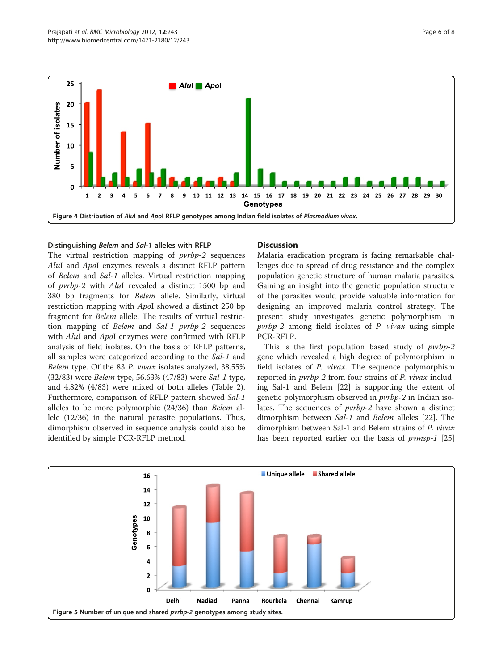<span id="page-5-0"></span>

## Distinguishing Belem and Sal-1 alleles with RFLP

The virtual restriction mapping of *pvrbp-2* sequences AluI and ApoI enzymes reveals a distinct RFLP pattern of Belem and Sal-1 alleles. Virtual restriction mapping of pvrbp-2 with AluI revealed a distinct 1500 bp and 380 bp fragments for Belem allele. Similarly, virtual restriction mapping with ApoI showed a distinct 250 bp fragment for Belem allele. The results of virtual restriction mapping of Belem and Sal-1 pvrbp-2 sequences with AluI and ApoI enzymes were confirmed with RFLP analysis of field isolates. On the basis of RFLP patterns, all samples were categorized according to the Sal-1 and Belem type. Of the 83 P. vivax isolates analyzed, 38.55% (32/83) were Belem type, 56.63% (47/83) were Sal-1 type, and 4.82% (4/83) were mixed of both alleles (Table [2](#page-6-0)). Furthermore, comparison of RFLP pattern showed Sal-1 alleles to be more polymorphic (24/36) than Belem allele (12/36) in the natural parasite populations. Thus, dimorphism observed in sequence analysis could also be identified by simple PCR-RFLP method.

## Discussion

Malaria eradication program is facing remarkable challenges due to spread of drug resistance and the complex population genetic structure of human malaria parasites. Gaining an insight into the genetic population structure of the parasites would provide valuable information for designing an improved malaria control strategy. The present study investigates genetic polymorphism in pvrbp-2 among field isolates of P. vivax using simple PCR-RFLP.

This is the first population based study of *pvrbp-2* gene which revealed a high degree of polymorphism in field isolates of P. vivax. The sequence polymorphism reported in pvrbp-2 from four strains of P. vivax including Sal-1 and Belem [[22](#page-7-0)] is supporting the extent of genetic polymorphism observed in pvrbp-2 in Indian isolates. The sequences of pvrbp-2 have shown a distinct dimorphism between Sal-1 and Belem alleles [[22\]](#page-7-0). The dimorphism between Sal-1 and Belem strains of P. vivax has been reported earlier on the basis of *pvmsp-1* [[25](#page-7-0)]

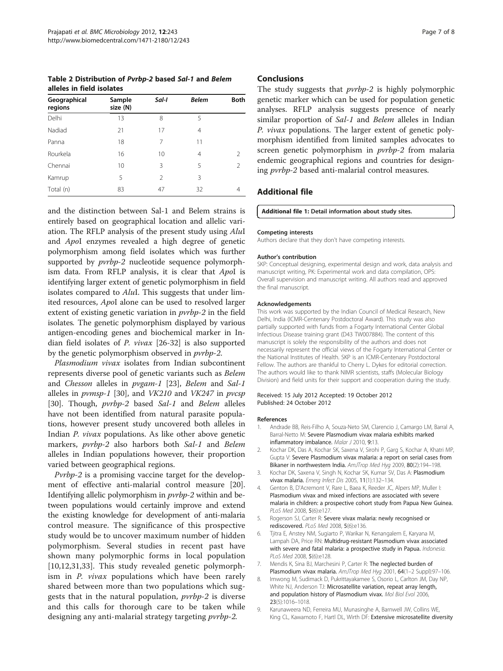<span id="page-6-0"></span>Table 2 Distribution of Pvrbp-2 based Sal-1 and Belem alleles in field isolates

| Geographical<br>regions | Sample<br>size (N) | Sal-I          | <b>Belem</b> | <b>Both</b>   |
|-------------------------|--------------------|----------------|--------------|---------------|
| Delhi                   | 13                 | 8              | 5            |               |
| Nadiad                  | 21                 | 17             | 4            |               |
| Panna                   | 18                 | 7              | 11           |               |
| Rourkela                | 16                 | 10             | 4            | 2             |
| Chennai                 | 10                 | 3              | 5            | $\mathcal{P}$ |
| Kamrup                  | 5                  | $\mathfrak{D}$ | 3            |               |
| Total (n)               | 83                 | 47             | 32           | 4             |

and the distinction between Sal-1 and Belem strains is entirely based on geographical location and allelic variation. The RFLP analysis of the present study using AluI and ApoI enzymes revealed a high degree of genetic polymorphism among field isolates which was further supported by  $prbp-2$  nucleotide sequence polymorphism data. From RFLP analysis, it is clear that ApoI is identifying larger extent of genetic polymorphism in field isolates compared to AluI. This suggests that under limited resources, ApoI alone can be used to resolved larger extent of existing genetic variation in pvrbp-2 in the field isolates. The genetic polymorphism displayed by various antigen-encoding genes and biochemical marker in Indian field isolates of P. vivax [[26-32](#page-7-0)] is also supported by the genetic polymorphism observed in pvrbp-2.

Plasmodium vivax isolates from Indian subcontinent represents diverse pool of genetic variants such as Belem and Chesson alleles in pvgam-1 [[23\]](#page-7-0), Belem and Sal-1 alleles in pvmsp-1 [[30\]](#page-7-0), and VK210 and VK247 in pvcsp [[30\]](#page-7-0). Though, pvrbp-2 based Sal-1 and Belem alleles have not been identified from natural parasite populations, however present study uncovered both alleles in Indian P. vivax populations. As like other above genetic markers, pvrbp-2 also harbors both Sal-1 and Belem alleles in Indian populations however, their proportion varied between geographical regions.

Pvrbp-2 is a promising vaccine target for the development of effective anti-malarial control measure [\[20](#page-7-0)]. Identifying allelic polymorphism in pvrbp-2 within and between populations would certainly improve and extend the existing knowledge for development of anti-malaria control measure. The significance of this prospective study would be to uncover maximum number of hidden polymorphism. Several studies in recent past have shown many polymorphic forms in local population [[10,12,31,33\]](#page-7-0). This study revealed genetic polymorphism in *P. vivax* populations which have been rarely shared between more than two populations which suggests that in the natural population, pvrbp-2 is diverse and this calls for thorough care to be taken while designing any anti-malarial strategy targeting pvrbp-2.

## Conclusions

The study suggests that *pvrbp-2* is highly polymorphic genetic marker which can be used for population genetic analyses. RFLP analysis suggests presence of nearly similar proportion of Sal-1 and Belem alleles in Indian P. vivax populations. The larger extent of genetic polymorphism identified from limited samples advocates to screen genetic polymorphism in *pvrbp-2* from malaria endemic geographical regions and countries for designing pvrbp-2 based anti-malarial control measures.

## Additional file

## [Additional file 1:](http://www.biomedcentral.com/content/supplementary/1471-2180-12-243-S1.doc) Detail information about study sites.

#### Competing interests

Authors declare that they don't have competing interests.

#### Author's contribution

SKP: Conceptual designing, experimental design and work, data analysis and manuscript writing, PK: Experimental work and data compilation, OPS: Overall supervision and manuscript writing. All authors read and approved the final manuscript.

#### Acknowledgements

This work was supported by the Indian Council of Medical Research, New Delhi, India (ICMR-Centenary Postdoctoral Award). This study was also partially supported with funds from a Fogarty International Center Global Infectious Disease training grant (D43 TW007884). The content of this manuscript is solely the responsibility of the authors and does not necessarily represent the official views of the Fogarty International Center or the National Institutes of Health. SKP is an ICMR-Centenary Postdoctoral Fellow. The authors are thankful to Cherry L. Dykes for editorial correction. The authors would like to thank NIMR scientists, staffs (Molecular Biology Division) and field units for their support and cooperation during the study.

#### Received: 15 July 2012 Accepted: 19 October 2012 Published: 24 October 2012

#### References

- 1. Andrade BB, Reis-Filho A, Souza-Neto SM, Clarencio J, Camargo LM, Barral A, Barral-Netto M: Severe Plasmodium vivax malaria exhibits marked inflammatory imbalance. Malar J 2010, 9:13.
- 2. Kochar DK, Das A, Kochar SK, Saxena V, Sirohi P, Garg S, Kochar A, Khatri MP, Gupta V: Severe Plasmodium vivax malaria: a report on serial cases from Bikaner in northwestern India. AmJTrop Med Hyg 2009, 80(2):194-198.
- 3. Kochar DK, Saxena V, Singh N, Kochar SK, Kumar SV, Das A: Plasmodium vivax malaria. Emerg Infect Dis 2005, 11(1):132–134.
- 4. Genton B, D'Acremont V, Rare L, Baea K, Reeder JC, Alpers MP, Muller I: Plasmodium vivax and mixed infections are associated with severe malaria in children: a prospective cohort study from Papua New Guinea. PLoS Med 2008, 5(6):e127.
- 5. Rogerson SJ, Carter R: Severe vivax malaria: newly recognised or rediscovered. PLoS Med 2008, 5(6):e136.
- 6. Tjitra E, Anstey NM, Sugiarto P, Warikar N, Kenangalem E, Karyana M, Lampah DA, Price RN: Multidrug-resistant Plasmodium vivax associated with severe and fatal malaria: a prospective study in Papua. Indonesia. PLoS Med 2008, 5(6):e128.
- 7. Mendis K, Sina BJ, Marchesini P, Carter R: The neglected burden of Plasmodium vivax malaria. AmJTrop Med Hyg 2001, 64(1-2 Suppl):97-106.
- 8. Imwong M, Sudimack D, Pukrittayakamee S, Osorio L, Carlton JM, Day NP, White NJ, Anderson TJ: Microsatellite variation, repeat array length, and population history of Plasmodium vivax. Mol Biol Evol 2006, 23(5):1016–1018.
- 9. Karunaweera ND, Ferreira MU, Munasinghe A, Barnwell JW, Collins WE, King CL, Kawamoto F, Hartl DL, Wirth DF: Extensive microsatellite diversity